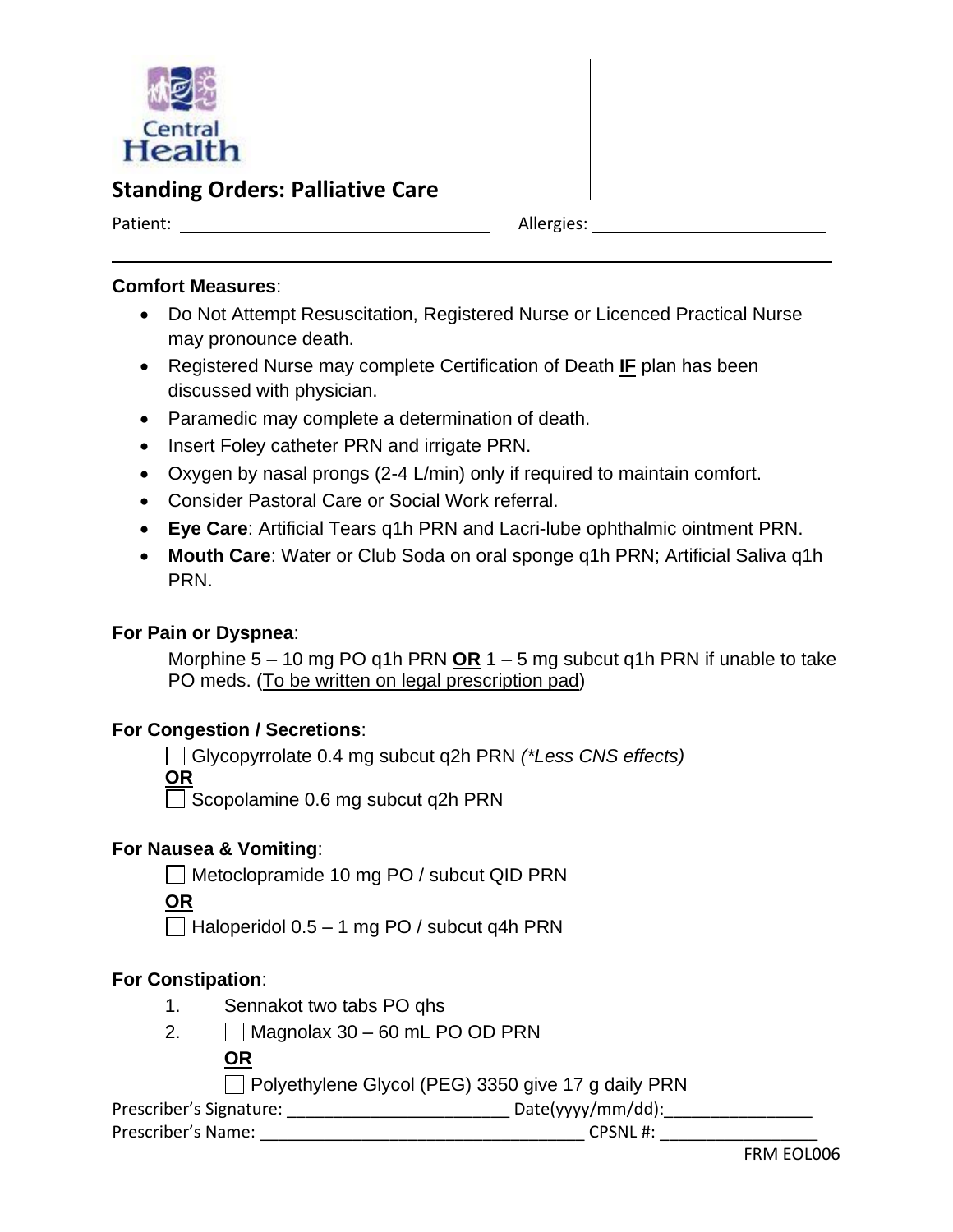

# **Standing Orders: Palliative Care**

Patient: Allergies: Allergies:

#### **Comfort Measures**:

- Do Not Attempt Resuscitation, Registered Nurse or Licenced Practical Nurse may pronounce death.
- Registered Nurse may complete Certification of Death **IF** plan has been discussed with physician.
- Paramedic may complete a determination of death.
- Insert Foley catheter PRN and irrigate PRN.
- Oxygen by nasal prongs (2-4 L/min) only if required to maintain comfort.
- Consider Pastoral Care or Social Work referral.
- **Eye Care**: Artificial Tears q1h PRN and Lacri-lube ophthalmic ointment PRN.
- **Mouth Care**: Water or Club Soda on oral sponge q1h PRN; Artificial Saliva q1h PRN.

### **For Pain or Dyspnea**:

Morphine 5 – 10 mg PO q1h PRN **OR** 1 – 5 mg subcut q1h PRN if unable to take PO meds. (To be written on legal prescription pad)

#### **For Congestion / Secretions**:

Glycopyrrolate 0.4 mg subcut q2h PRN *(\*Less CNS effects)*

**OR**

Scopolamine 0.6 mg subcut q2h PRN

#### **For Nausea & Vomiting**:

Metoclopramide 10 mg PO / subcut QID PRN

**OR**

 $\Box$  Haloperidol 0.5 – 1 mg PO / subcut q4h PRN

### **For Constipation**:

- 1. Sennakot two tabs PO qhs
- 2.  $\Box$  Magnolax 30 60 mL PO OD PRN

### **OR**

 $\Box$  Polyethylene Glycol (PEG) 3350 give 17 g daily PRN

Prescriber's Signature: \_\_\_\_\_\_\_\_\_\_\_\_\_\_\_\_\_\_\_\_\_\_\_\_ Date(yyyy/mm/dd):\_\_\_\_\_\_\_\_\_\_\_\_\_\_\_\_

Prescriber's Name: \_\_\_\_\_\_\_\_\_\_\_\_\_\_\_\_\_\_\_\_\_\_\_\_\_\_\_\_\_\_\_\_\_\_\_ CPSNL #: \_\_\_\_\_\_\_\_\_\_\_\_\_\_\_\_\_